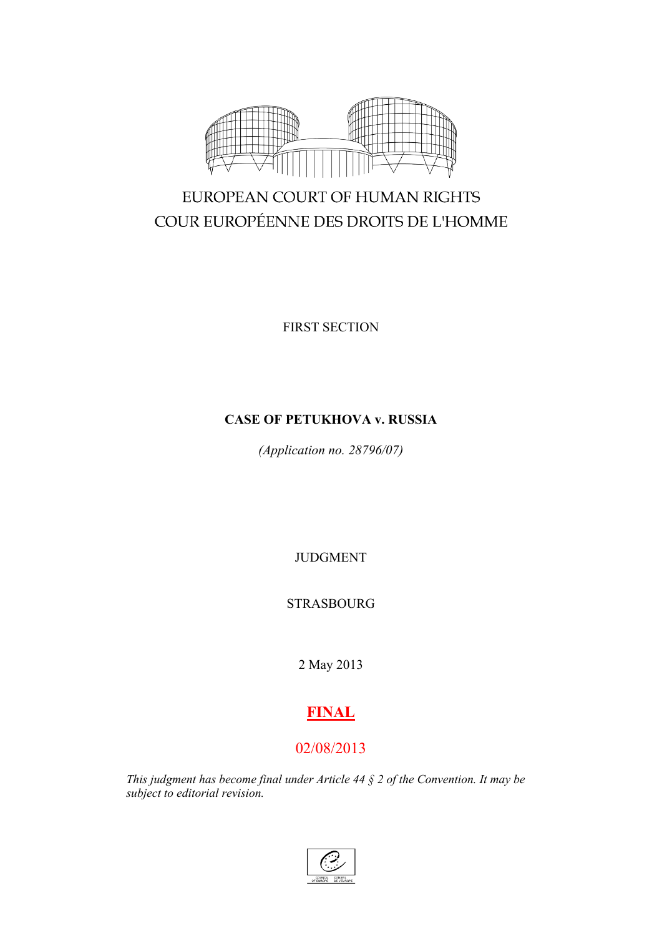

# EUROPEAN COURT OF HUMAN RIGHTS COUR EUROPÉENNE DES DROITS DE L'HOMME

FIRST SECTION

# **CASE OF PETUKHOVA v. RUSSIA**

*(Application no. 28796/07)*

JUDGMENT

STRASBOURG

2 May 2013

# **FINAL**

# 02/08/2013

*This judgment has become final under Article 44 § 2 of the Convention. It may be subject to editorial revision.*

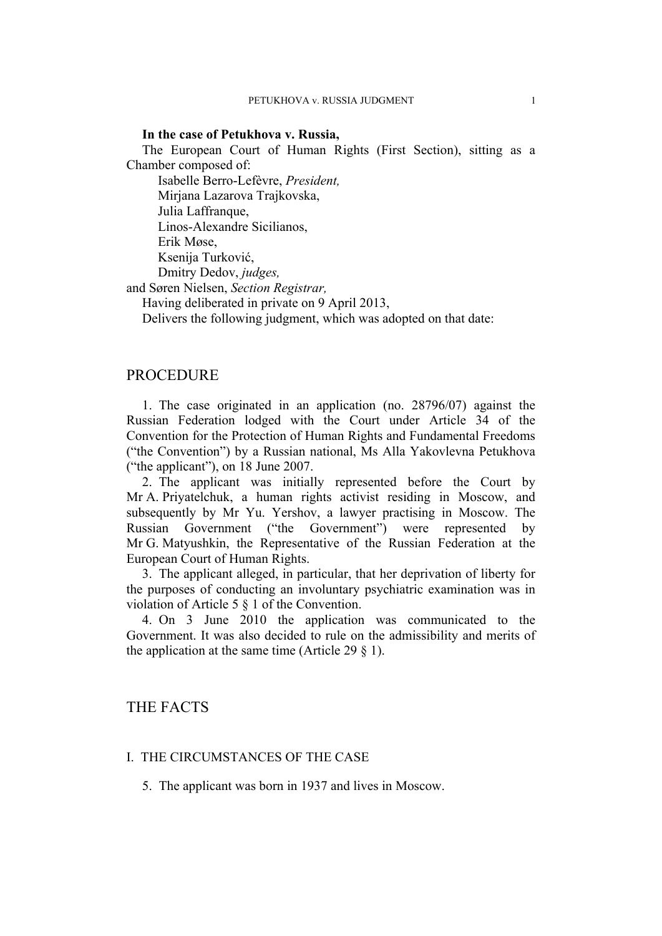## **In the case of Petukhova v. Russia,**

The European Court of Human Rights (First Section), sitting as a Chamber composed of:

Isabelle Berro-Lefèvre, *President,* Mirjana Lazarova Trajkovska, Julia Laffranque, Linos-Alexandre Sicilianos, Erik Møse, Ksenija Turković, Dmitry Dedov, *judges,*

and Søren Nielsen, *Section Registrar,*

Having deliberated in private on 9 April 2013,

Delivers the following judgment, which was adopted on that date:

# **PROCEDURE**

1. The case originated in an application (no. 28796/07) against the Russian Federation lodged with the Court under Article 34 of the Convention for the Protection of Human Rights and Fundamental Freedoms ("the Convention") by a Russian national, Ms Alla Yakovlevna Petukhova ("the applicant"), on 18 June 2007.

2. The applicant was initially represented before the Court by Mr A. Priyatelchuk, a human rights activist residing in Moscow, and subsequently by Mr Yu. Yershov, a lawyer practising in Moscow. The Russian Government ("the Government") were represented by Mr G. Matyushkin, the Representative of the Russian Federation at the European Court of Human Rights.

3. The applicant alleged, in particular, that her deprivation of liberty for the purposes of conducting an involuntary psychiatric examination was in violation of Article 5 § 1 of the Convention.

4. On 3 June 2010 the application was communicated to the Government. It was also decided to rule on the admissibility and merits of the application at the same time (Article 29  $\S$  1).

# THE FACTS

# I. THE CIRCUMSTANCES OF THE CASE

5. The applicant was born in 1937 and lives in Moscow.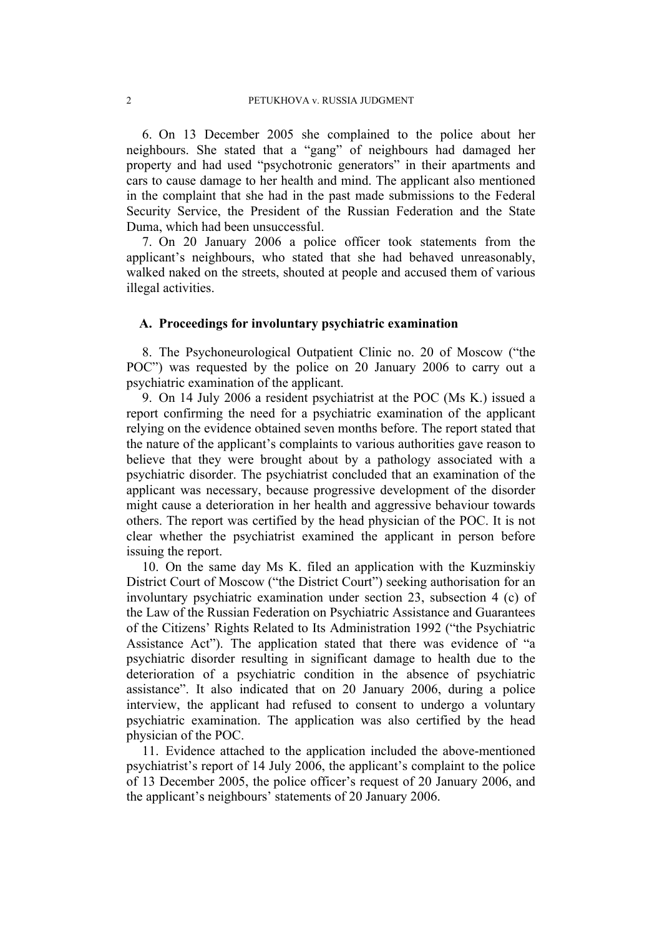6. On 13 December 2005 she complained to the police about her neighbours. She stated that a "gang" of neighbours had damaged her property and had used "psychotronic generators" in their apartments and cars to cause damage to her health and mind. The applicant also mentioned in the complaint that she had in the past made submissions to the Federal Security Service, the President of the Russian Federation and the State Duma, which had been unsuccessful.

7. On 20 January 2006 a police officer took statements from the applicant's neighbours, who stated that she had behaved unreasonably, walked naked on the streets, shouted at people and accused them of various illegal activities.

## **A. Proceedings for involuntary psychiatric examination**

8. The Psychoneurological Outpatient Clinic no. 20 of Moscow ("the POC") was requested by the police on 20 January 2006 to carry out a psychiatric examination of the applicant.

9. On 14 July 2006 a resident psychiatrist at the POC (Ms K.) issued a report confirming the need for a psychiatric examination of the applicant relying on the evidence obtained seven months before. The report stated that the nature of the applicant's complaints to various authorities gave reason to believe that they were brought about by a pathology associated with a psychiatric disorder. The psychiatrist concluded that an examination of the applicant was necessary, because progressive development of the disorder might cause a deterioration in her health and aggressive behaviour towards others. The report was certified by the head physician of the POC. It is not clear whether the psychiatrist examined the applicant in person before issuing the report.

10. On the same day Ms K. filed an application with the Kuzminskiy District Court of Moscow ("the District Court") seeking authorisation for an involuntary psychiatric examination under section 23, subsection 4 (c) of the Law of the Russian Federation on Psychiatric Assistance and Guarantees of the Citizens' Rights Related to Its Administration 1992 ("the Psychiatric Assistance Act"). The application stated that there was evidence of "a psychiatric disorder resulting in significant damage to health due to the deterioration of a psychiatric condition in the absence of psychiatric assistance". It also indicated that on 20 January 2006, during a police interview, the applicant had refused to consent to undergo a voluntary psychiatric examination. The application was also certified by the head physician of the POC.

11. Evidence attached to the application included the above-mentioned psychiatrist's report of 14 July 2006, the applicant's complaint to the police of 13 December 2005, the police officer's request of 20 January 2006, and the applicant's neighbours' statements of 20 January 2006.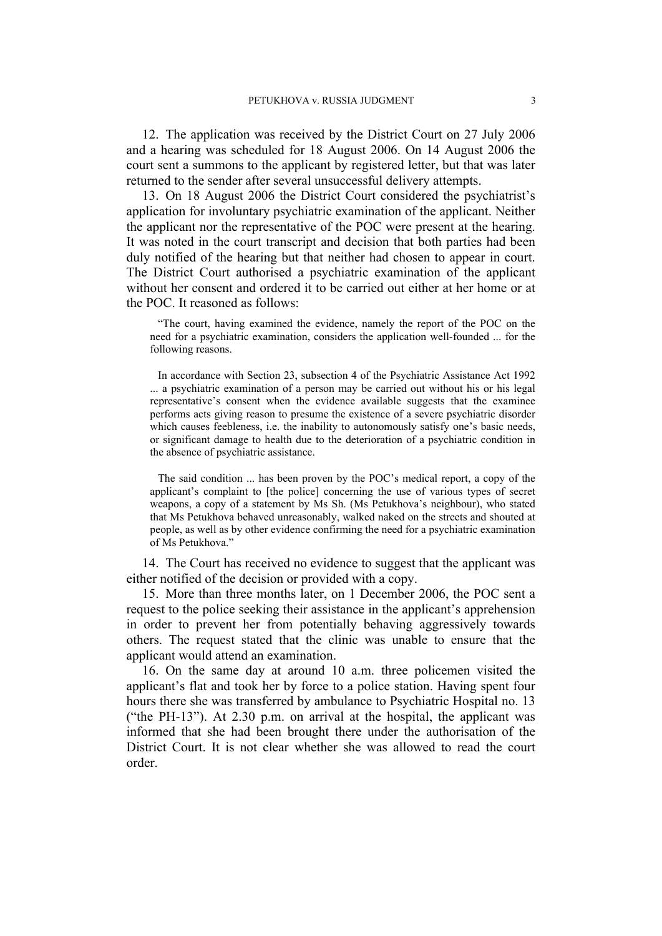12. The application was received by the District Court on 27 July 2006 and a hearing was scheduled for 18 August 2006. On 14 August 2006 the court sent a summons to the applicant by registered letter, but that was later returned to the sender after several unsuccessful delivery attempts.

<span id="page-4-0"></span>13. On 18 August 2006 the District Court considered the psychiatrist's application for involuntary psychiatric examination of the applicant. Neither the applicant nor the representative of the POC were present at the hearing. It was noted in the court transcript and decision that both parties had been duly notified of the hearing but that neither had chosen to appear in court. The District Court authorised a psychiatric examination of the applicant without her consent and ordered it to be carried out either at her home or at the POC. It reasoned as follows:

"The court, having examined the evidence, namely the report of the POC on the need for a psychiatric examination, considers the application well-founded ... for the following reasons.

In accordance with Section 23, subsection 4 of the Psychiatric Assistance Act 1992 ... a psychiatric examination of a person may be carried out without his or his legal representative's consent when the evidence available suggests that the examinee performs acts giving reason to presume the existence of a severe psychiatric disorder which causes feebleness, i.e. the inability to autonomously satisfy one's basic needs, or significant damage to health due to the deterioration of a psychiatric condition in the absence of psychiatric assistance.

The said condition ... has been proven by the POC's medical report, a copy of the applicant's complaint to [the police] concerning the use of various types of secret weapons, a copy of a statement by Ms Sh. (Ms Petukhova's neighbour), who stated that Ms Petukhova behaved unreasonably, walked naked on the streets and shouted at people, as well as by other evidence confirming the need for a psychiatric examination of Ms Petukhova."

14. The Court has received no evidence to suggest that the applicant was either notified of the decision or provided with a copy.

15. More than three months later, on 1 December 2006, the POC sent a request to the police seeking their assistance in the applicant's apprehension in order to prevent her from potentially behaving aggressively towards others. The request stated that the clinic was unable to ensure that the applicant would attend an examination.

16. On the same day at around 10 a.m. three policemen visited the applicant's flat and took her by force to a police station. Having spent four hours there she was transferred by ambulance to Psychiatric Hospital no. 13 ("the PH-13"). At 2.30 p.m. on arrival at the hospital, the applicant was informed that she had been brought there under the authorisation of the District Court. It is not clear whether she was allowed to read the court order.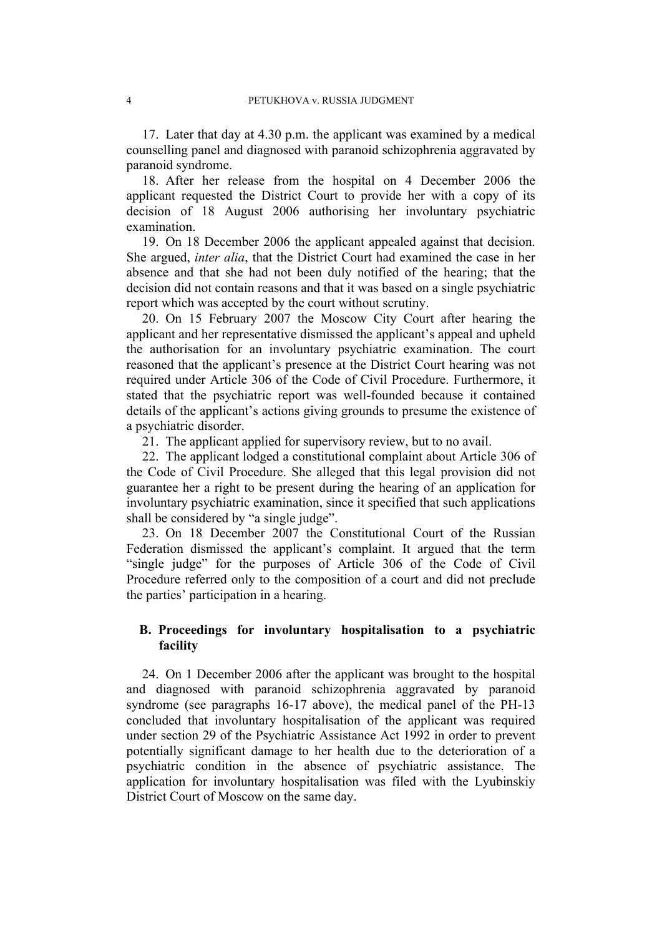17. Later that day at 4.30 p.m. the applicant was examined by a medical counselling panel and diagnosed with paranoid schizophrenia aggravated by paranoid syndrome.

18. After her release from the hospital on 4 December 2006 the applicant requested the District Court to provide her with a copy of its decision of 18 August 2006 authorising her involuntary psychiatric examination.

19. On 18 December 2006 the applicant appealed against that decision. She argued, *inter alia*, that the District Court had examined the case in her absence and that she had not been duly notified of the hearing; that the decision did not contain reasons and that it was based on a single psychiatric report which was accepted by the court without scrutiny.

20. On 15 February 2007 the Moscow City Court after hearing the applicant and her representative dismissed the applicant's appeal and upheld the authorisation for an involuntary psychiatric examination. The court reasoned that the applicant's presence at the District Court hearing was not required under Article 306 of the Code of Civil Procedure. Furthermore, it stated that the psychiatric report was well-founded because it contained details of the applicant's actions giving grounds to presume the existence of a psychiatric disorder.

21. The applicant applied for supervisory review, but to no avail.

22. The applicant lodged a constitutional complaint about Article 306 of the Code of Civil Procedure. She alleged that this legal provision did not guarantee her a right to be present during the hearing of an application for involuntary psychiatric examination, since it specified that such applications shall be considered by "a single judge".

23. On 18 December 2007 the Constitutional Court of the Russian Federation dismissed the applicant's complaint. It argued that the term "single judge" for the purposes of Article 306 of the Code of Civil Procedure referred only to the composition of a court and did not preclude the parties' participation in a hearing.

# **B. Proceedings for involuntary hospitalisation to a psychiatric facility**

24. On 1 December 2006 after the applicant was brought to the hospital and diagnosed with paranoid schizophrenia aggravated by paranoid syndrome (see paragraphs 16-17 above), the medical panel of the PH-13 concluded that involuntary hospitalisation of the applicant was required under section 29 of the Psychiatric Assistance Act 1992 in order to prevent potentially significant damage to her health due to the deterioration of a psychiatric condition in the absence of psychiatric assistance. The application for involuntary hospitalisation was filed with the Lyubinskiy District Court of Moscow on the same day.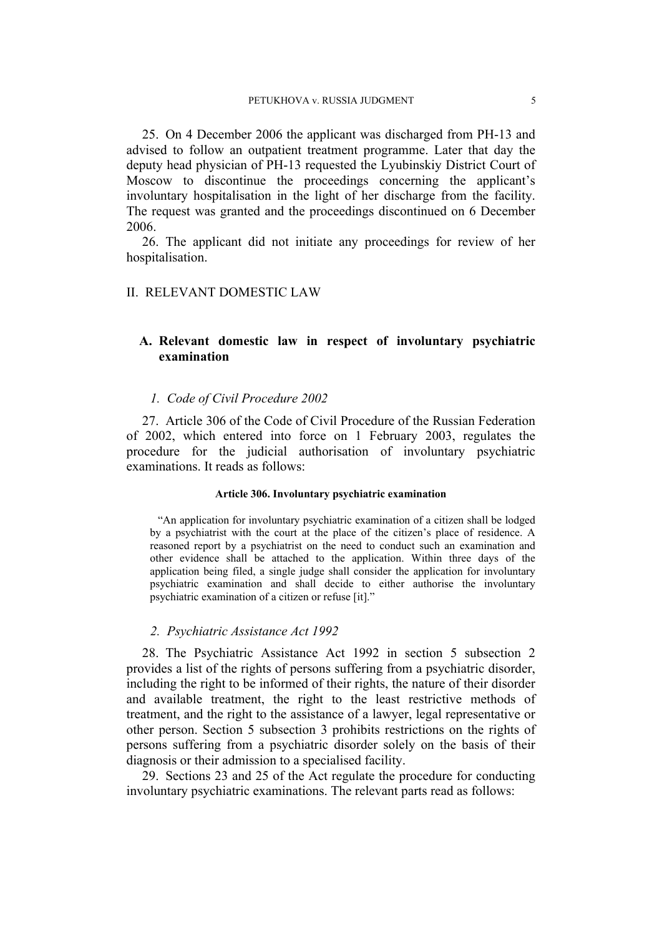25. On 4 December 2006 the applicant was discharged from PH-13 and advised to follow an outpatient treatment programme. Later that day the deputy head physician of PH-13 requested the Lyubinskiy District Court of Moscow to discontinue the proceedings concerning the applicant's involuntary hospitalisation in the light of her discharge from the facility. The request was granted and the proceedings discontinued on 6 December 2006.

26. The applicant did not initiate any proceedings for review of her hospitalisation.

## II. RELEVANT DOMESTIC LAW

# **A. Relevant domestic law in respect of involuntary psychiatric examination**

### *1. Code of Civil Procedure 2002*

27. Article 306 of the Code of Civil Procedure of the Russian Federation of 2002, which entered into force on 1 February 2003, regulates the procedure for the judicial authorisation of involuntary psychiatric examinations. It reads as follows:

#### **Article 306. Involuntary psychiatric examination**

"An application for involuntary psychiatric examination of a citizen shall be lodged by a psychiatrist with the court at the place of the citizen's place of residence. A reasoned report by a psychiatrist on the need to conduct such an examination and other evidence shall be attached to the application. Within three days of the application being filed, a single judge shall consider the application for involuntary psychiatric examination and shall decide to either authorise the involuntary psychiatric examination of a citizen or refuse [it]."

## *2. Psychiatric Assistance Act 1992*

28. The Psychiatric Assistance Act 1992 in section 5 subsection 2 provides a list of the rights of persons suffering from a psychiatric disorder, including the right to be informed of their rights, the nature of their disorder and available treatment, the right to the least restrictive methods of treatment, and the right to the assistance of a lawyer, legal representative or other person. Section 5 subsection 3 prohibits restrictions on the rights of persons suffering from a psychiatric disorder solely on the basis of their diagnosis or their admission to a specialised facility.

29. Sections 23 and 25 of the Act regulate the procedure for conducting involuntary psychiatric examinations. The relevant parts read as follows: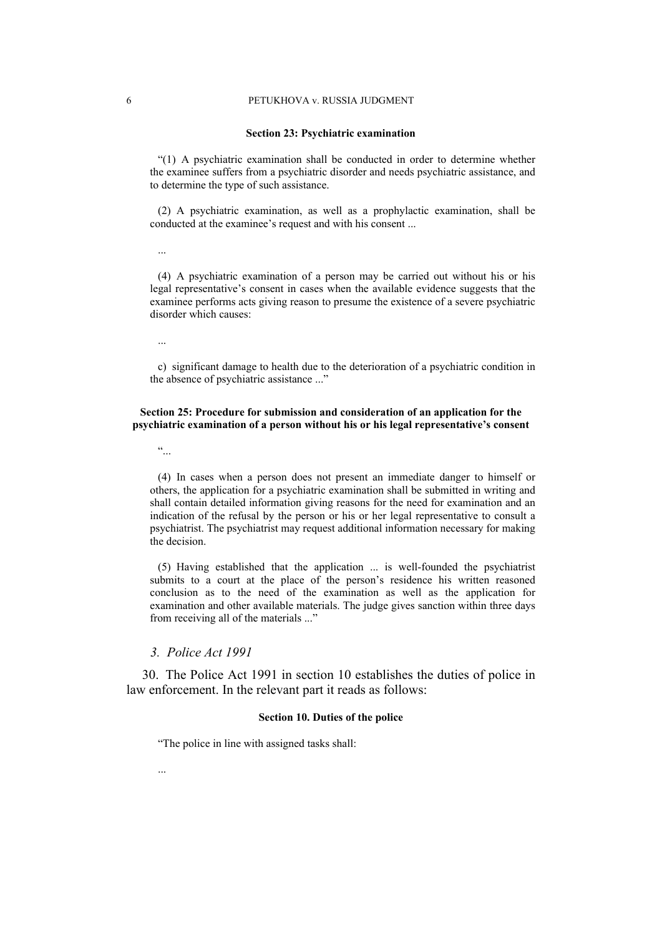#### 6 PETUKHOVA v. RUSSIA JUDGMENT

#### **Section 23: Psychiatric examination**

"(1) A psychiatric examination shall be conducted in order to determine whether the examinee suffers from a psychiatric disorder and needs psychiatric assistance, and to determine the type of such assistance.

(2) A psychiatric examination, as well as a prophylactic examination, shall be conducted at the examinee's request and with his consent ...

...

(4) A psychiatric examination of a person may be carried out without his or his legal representative's consent in cases when the available evidence suggests that the examinee performs acts giving reason to presume the existence of a severe psychiatric disorder which causes:

c) significant damage to health due to the deterioration of a psychiatric condition in the absence of psychiatric assistance ..."

## **Section 25: Procedure for submission and consideration of an application for the psychiatric examination of a person without his or his legal representative's consent**

 $\ddot{\cdot}$ 

(4) In cases when a person does not present an immediate danger to himself or others, the application for a psychiatric examination shall be submitted in writing and shall contain detailed information giving reasons for the need for examination and an indication of the refusal by the person or his or her legal representative to consult a psychiatrist. The psychiatrist may request additional information necessary for making the decision.

(5) Having established that the application ... is well-founded the psychiatrist submits to a court at the place of the person's residence his written reasoned conclusion as to the need of the examination as well as the application for examination and other available materials. The judge gives sanction within three days from receiving all of the materials ..."

## *3. Police Act 1991*

30. The Police Act 1991 in section 10 establishes the duties of police in law enforcement. In the relevant part it reads as follows:

#### **Section 10. Duties of the police**

"The police in line with assigned tasks shall:

...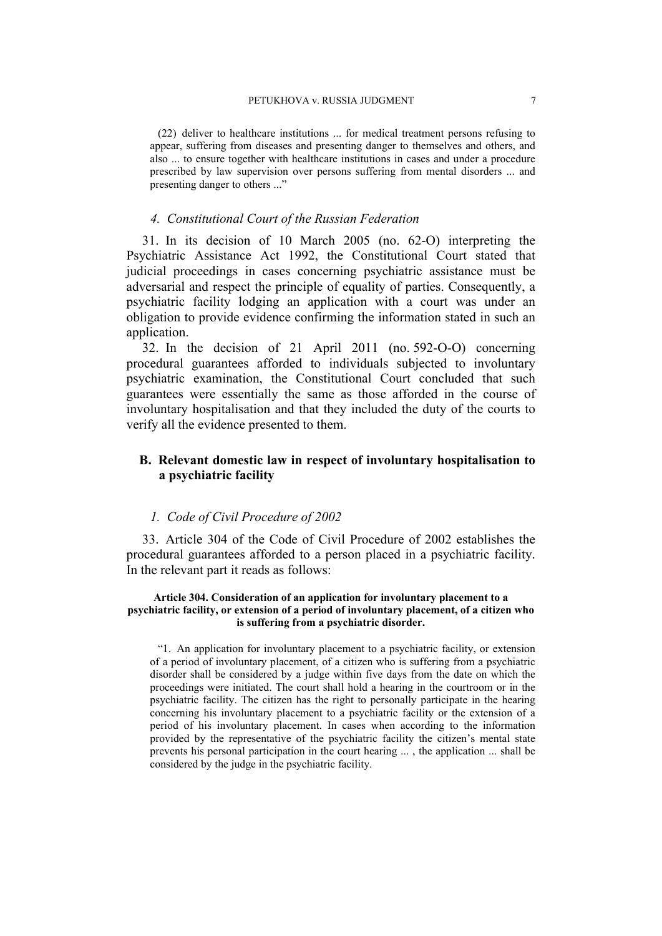(22) deliver to healthcare institutions ... for medical treatment persons refusing to appear, suffering from diseases and presenting danger to themselves and others, and also ... to ensure together with healthcare institutions in cases and under a procedure prescribed by law supervision over persons suffering from mental disorders ... and presenting danger to others ..."

## *4. Constitutional Court of the Russian Federation*

<span id="page-8-0"></span>31. In its decision of 10 March 2005 (no. 62-O) interpreting the Psychiatric Assistance Act 1992, the Constitutional Court stated that judicial proceedings in cases concerning psychiatric assistance must be adversarial and respect the principle of equality of parties. Consequently, a psychiatric facility lodging an application with a court was under an obligation to provide evidence confirming the information stated in such an application.

32. In the decision of 21 April 2011 (no. 592-O-O) concerning procedural guarantees afforded to individuals subjected to involuntary psychiatric examination, the Constitutional Court concluded that such guarantees were essentially the same as those afforded in the course of involuntary hospitalisation and that they included the duty of the courts to verify all the evidence presented to them.

# **B. Relevant domestic law in respect of involuntary hospitalisation to a psychiatric facility**

## *1. Code of Civil Procedure of 2002*

33. Article 304 of the Code of Civil Procedure of 2002 establishes the procedural guarantees afforded to a person placed in a psychiatric facility. In the relevant part it reads as follows:

### **Article 304. Consideration of an application for involuntary placement to a psychiatric facility, or extension of a period of involuntary placement, of a citizen who is suffering from a psychiatric disorder.**

"1. An application for involuntary placement to a psychiatric facility, or extension of a period of involuntary placement, of a citizen who is suffering from a psychiatric disorder shall be considered by a judge within five days from the date on which the proceedings were initiated. The court shall hold a hearing in the courtroom or in the psychiatric facility. The citizen has the right to personally participate in the hearing concerning his involuntary placement to a psychiatric facility or the extension of a period of his involuntary placement. In cases when according to the information provided by the representative of the psychiatric facility the citizen's mental state prevents his personal participation in the court hearing ... , the application ... shall be considered by the judge in the psychiatric facility.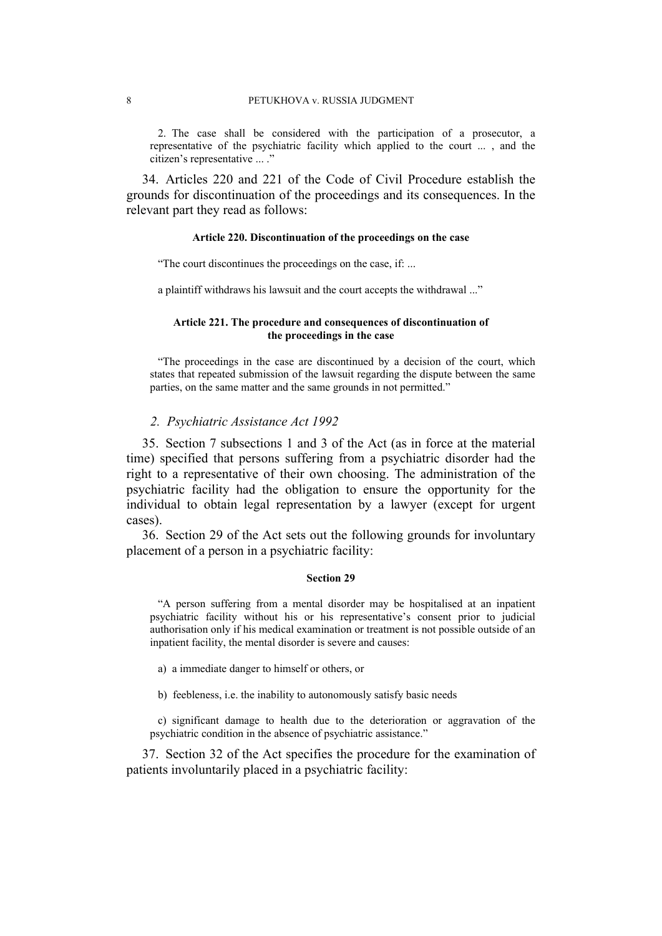2. The case shall be considered with the participation of a prosecutor, a representative of the psychiatric facility which applied to the court ... , and the citizen's representative ... ."

34. Articles 220 and 221 of the Code of Civil Procedure establish the grounds for discontinuation of the proceedings and its consequences. In the relevant part they read as follows:

### **Article 220. Discontinuation of the proceedings on the case**

"The court discontinues the proceedings on the case, if: ...

a plaintiff withdraws his lawsuit and the court accepts the withdrawal ..."

## **Article 221. The procedure and consequences of discontinuation of the proceedings in the case**

"The proceedings in the case are discontinued by a decision of the court, which states that repeated submission of the lawsuit regarding the dispute between the same parties, on the same matter and the same grounds in not permitted."

## *2. Psychiatric Assistance Act 1992*

35. Section 7 subsections 1 and 3 of the Act (as in force at the material time) specified that persons suffering from a psychiatric disorder had the right to a representative of their own choosing. The administration of the psychiatric facility had the obligation to ensure the opportunity for the individual to obtain legal representation by a lawyer (except for urgent cases).

36. Section 29 of the Act sets out the following grounds for involuntary placement of a person in a psychiatric facility:

#### **Section 29**

"A person suffering from a mental disorder may be hospitalised at an inpatient psychiatric facility without his or his representative's consent prior to judicial authorisation only if his medical examination or treatment is not possible outside of an inpatient facility, the mental disorder is severe and causes:

a) a immediate danger to himself or others, or

b) feebleness, i.e. the inability to autonomously satisfy basic needs

c) significant damage to health due to the deterioration or aggravation of the psychiatric condition in the absence of psychiatric assistance."

37. Section 32 of the Act specifies the procedure for the examination of patients involuntarily placed in a psychiatric facility: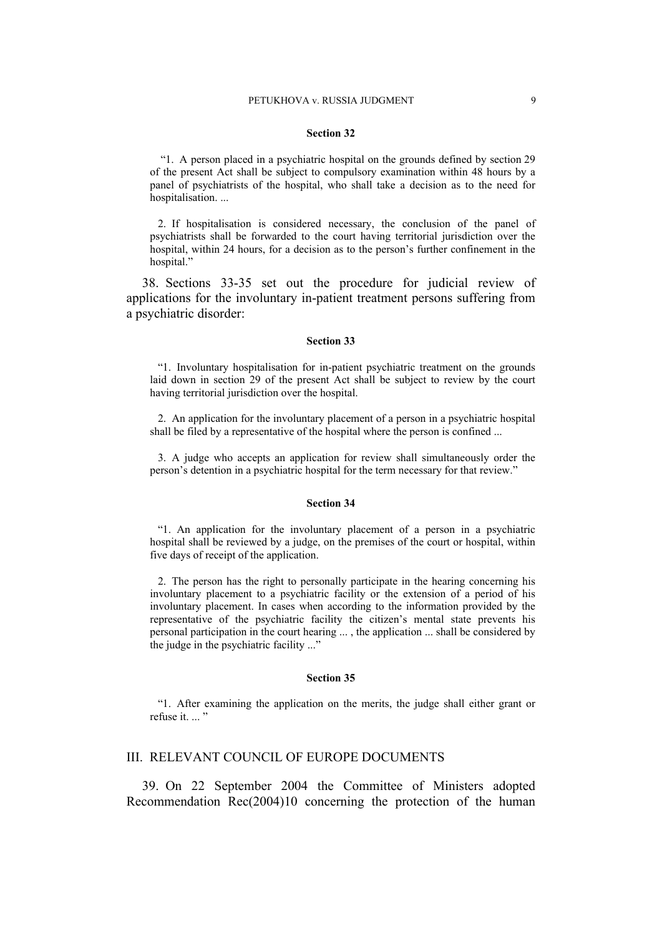#### **Section 32**

 "1. A person placed in a psychiatric hospital on the grounds defined by section 29 of the present Act shall be subject to compulsory examination within 48 hours by a panel of psychiatrists of the hospital, who shall take a decision as to the need for hospitalisation....

2. If hospitalisation is considered necessary, the conclusion of the panel of psychiatrists shall be forwarded to the court having territorial jurisdiction over the hospital, within 24 hours, for a decision as to the person's further confinement in the hospital."

38. Sections 33-35 set out the procedure for judicial review of applications for the involuntary in-patient treatment persons suffering from a psychiatric disorder:

#### **Section 33**

"1. Involuntary hospitalisation for in-patient psychiatric treatment on the grounds laid down in section 29 of the present Act shall be subject to review by the court having territorial jurisdiction over the hospital.

2. An application for the involuntary placement of a person in a psychiatric hospital shall be filed by a representative of the hospital where the person is confined ...

3. A judge who accepts an application for review shall simultaneously order the person's detention in a psychiatric hospital for the term necessary for that review."

#### **Section 34**

"1. An application for the involuntary placement of a person in a psychiatric hospital shall be reviewed by a judge, on the premises of the court or hospital, within five days of receipt of the application.

2. The person has the right to personally participate in the hearing concerning his involuntary placement to a psychiatric facility or the extension of a period of his involuntary placement. In cases when according to the information provided by the representative of the psychiatric facility the citizen's mental state prevents his personal participation in the court hearing ... , the application ... shall be considered by the judge in the psychiatric facility ..."

#### **Section 35**

"1. After examining the application on the merits, the judge shall either grant or refuse it. ... '

## III. RELEVANT COUNCIL OF EUROPE DOCUMENTS

39. On 22 September 2004 the Committee of Ministers adopted Recommendation Rec(2004)10 concerning the protection of the human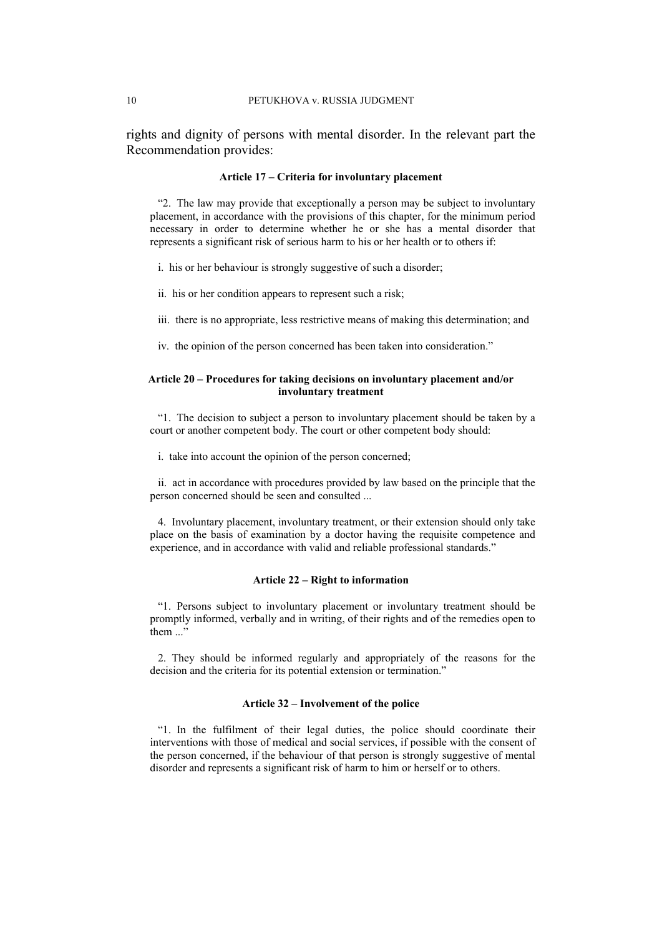rights and dignity of persons with mental disorder. In the relevant part the Recommendation provides:

#### **Article 17 – Criteria for involuntary placement**

"2. The law may provide that exceptionally a person may be subject to involuntary placement, in accordance with the provisions of this chapter, for the minimum period necessary in order to determine whether he or she has a mental disorder that represents a significant risk of serious harm to his or her health or to others if:

i. his or her behaviour is strongly suggestive of such a disorder;

ii. his or her condition appears to represent such a risk;

- iii. there is no appropriate, less restrictive means of making this determination; and
- iv. the opinion of the person concerned has been taken into consideration."

#### **Article 20 – Procedures for taking decisions on involuntary placement and/or involuntary treatment**

"1. The decision to subject a person to involuntary placement should be taken by a court or another competent body. The court or other competent body should:

i. take into account the opinion of the person concerned;

ii. act in accordance with procedures provided by law based on the principle that the person concerned should be seen and consulted ...

4. Involuntary placement, involuntary treatment, or their extension should only take place on the basis of examination by a doctor having the requisite competence and experience, and in accordance with valid and reliable professional standards."

#### **Article 22 – Right to information**

"1. Persons subject to involuntary placement or involuntary treatment should be promptly informed, verbally and in writing, of their rights and of the remedies open to  $then$   $\overline{?}$ 

2. They should be informed regularly and appropriately of the reasons for the decision and the criteria for its potential extension or termination."

## **Article 32 – Involvement of the police**

"1. In the fulfilment of their legal duties, the police should coordinate their interventions with those of medical and social services, if possible with the consent of the person concerned, if the behaviour of that person is strongly suggestive of mental disorder and represents a significant risk of harm to him or herself or to others.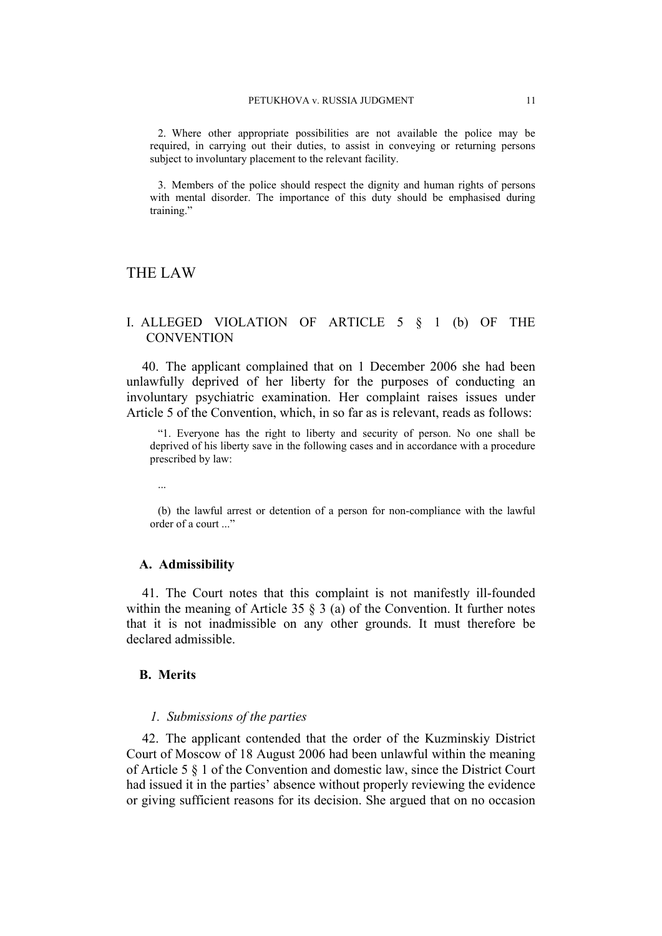2. Where other appropriate possibilities are not available the police may be required, in carrying out their duties, to assist in conveying or returning persons subject to involuntary placement to the relevant facility.

3. Members of the police should respect the dignity and human rights of persons with mental disorder. The importance of this duty should be emphasised during training."

# THE LAW

# I. ALLEGED VIOLATION OF ARTICLE 5 § 1 (b) OF THE **CONVENTION**

40. The applicant complained that on 1 December 2006 she had been unlawfully deprived of her liberty for the purposes of conducting an involuntary psychiatric examination. Her complaint raises issues under Article 5 of the Convention, which, in so far as is relevant, reads as follows:

"1. Everyone has the right to liberty and security of person. No one shall be deprived of his liberty save in the following cases and in accordance with a procedure prescribed by law:

...

(b) the lawful arrest or detention of a person for non-compliance with the lawful order of a court ..."

## **A. Admissibility**

41. The Court notes that this complaint is not manifestly ill-founded within the meaning of Article 35  $\S$  3 (a) of the Convention. It further notes that it is not inadmissible on any other grounds. It must therefore be declared admissible.

# **B. Merits**

#### *1. Submissions of the parties*

42. The applicant contended that the order of the Kuzminskiy District Court of Moscow of 18 August 2006 had been unlawful within the meaning of Article 5 § 1 of the Convention and domestic law, since the District Court had issued it in the parties' absence without properly reviewing the evidence or giving sufficient reasons for its decision. She argued that on no occasion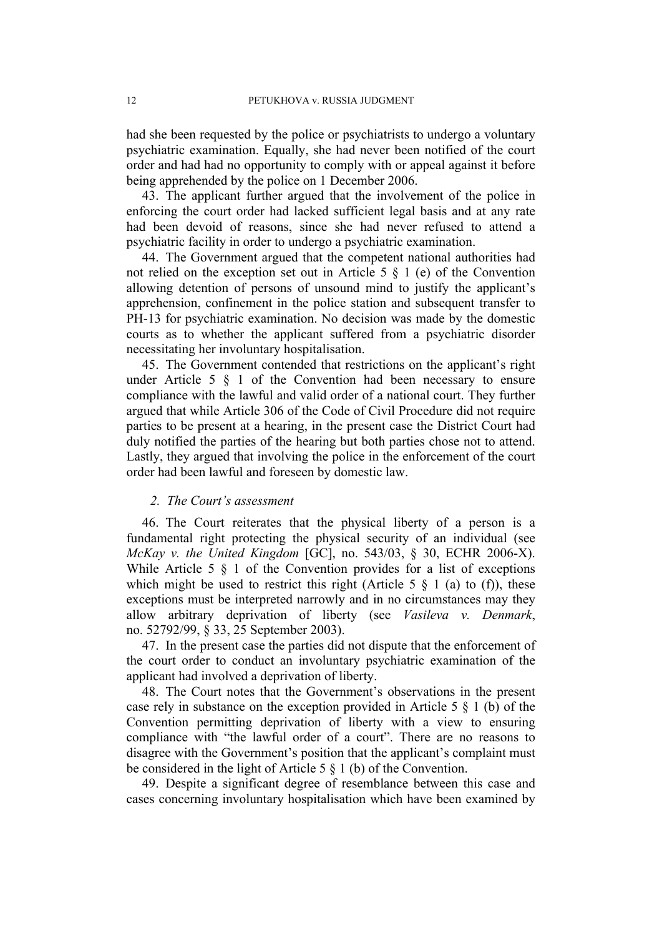had she been requested by the police or psychiatrists to undergo a voluntary psychiatric examination. Equally, she had never been notified of the court order and had had no opportunity to comply with or appeal against it before being apprehended by the police on 1 December 2006.

43. The applicant further argued that the involvement of the police in enforcing the court order had lacked sufficient legal basis and at any rate had been devoid of reasons, since she had never refused to attend a psychiatric facility in order to undergo a psychiatric examination.

44. The Government argued that the competent national authorities had not relied on the exception set out in Article 5 § 1 (e) of the Convention allowing detention of persons of unsound mind to justify the applicant's apprehension, confinement in the police station and subsequent transfer to PH-13 for psychiatric examination. No decision was made by the domestic courts as to whether the applicant suffered from a psychiatric disorder necessitating her involuntary hospitalisation.

45. The Government contended that restrictions on the applicant's right under Article 5 § 1 of the Convention had been necessary to ensure compliance with the lawful and valid order of a national court. They further argued that while Article 306 of the Code of Civil Procedure did not require parties to be present at a hearing, in the present case the District Court had duly notified the parties of the hearing but both parties chose not to attend. Lastly, they argued that involving the police in the enforcement of the court order had been lawful and foreseen by domestic law.

# *2. The Court's assessment*

46. The Court reiterates that the physical liberty of a person is a fundamental right protecting the physical security of an individual (see *McKay v. the United Kingdom* [GC], no. 543/03, § 30, ECHR 2006-X). While Article 5 § 1 of the Convention provides for a list of exceptions which might be used to restrict this right (Article 5  $\S$  1 (a) to (f)), these exceptions must be interpreted narrowly and in no circumstances may they allow arbitrary deprivation of liberty (see *Vasileva v. Denmark*, no. 52792/99, § 33, 25 September 2003).

47. In the present case the parties did not dispute that the enforcement of the court order to conduct an involuntary psychiatric examination of the applicant had involved a deprivation of liberty.

48. The Court notes that the Government's observations in the present case rely in substance on the exception provided in Article 5 § 1 (b) of the Convention permitting deprivation of liberty with a view to ensuring compliance with "the lawful order of a court". There are no reasons to disagree with the Government's position that the applicant's complaint must be considered in the light of Article 5 § 1 (b) of the Convention.

49. Despite a significant degree of resemblance between this case and cases concerning involuntary hospitalisation which have been examined by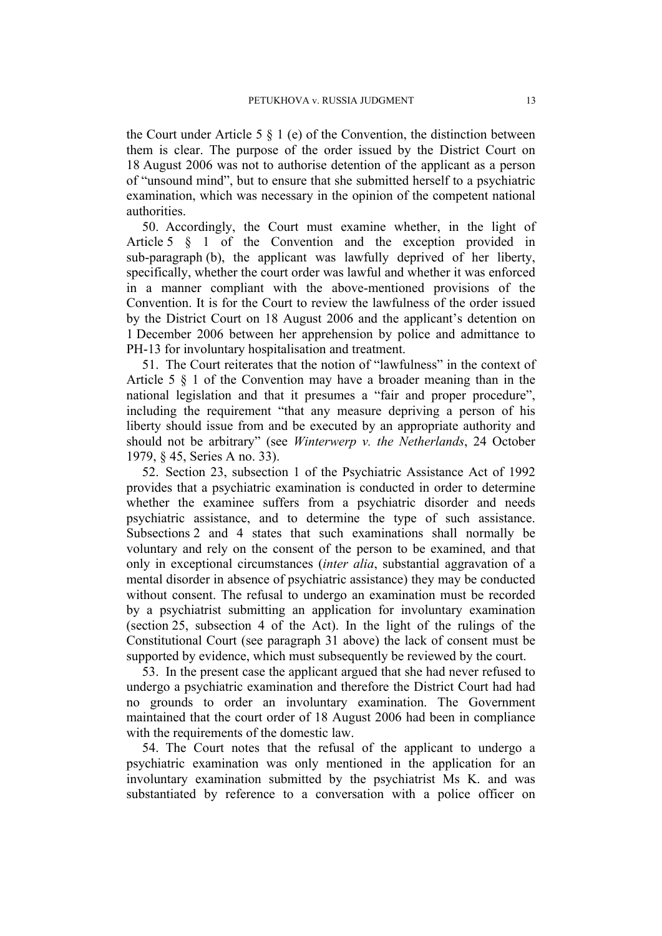the Court under Article 5  $\S$  1 (e) of the Convention, the distinction between them is clear. The purpose of the order issued by the District Court on 18 August 2006 was not to authorise detention of the applicant as a person of "unsound mind", but to ensure that she submitted herself to a psychiatric examination, which was necessary in the opinion of the competent national authorities.

50. Accordingly, the Court must examine whether, in the light of Article 5 § 1 of the Convention and the exception provided in sub-paragraph (b), the applicant was lawfully deprived of her liberty, specifically, whether the court order was lawful and whether it was enforced in a manner compliant with the above-mentioned provisions of the Convention. It is for the Court to review the lawfulness of the order issued by the District Court on 18 August 2006 and the applicant's detention on 1 December 2006 between her apprehension by police and admittance to PH-13 for involuntary hospitalisation and treatment.

51. The Court reiterates that the notion of "lawfulness" in the context of Article 5 § 1 of the Convention may have a broader meaning than in the national legislation and that it presumes a "fair and proper procedure", including the requirement "that any measure depriving a person of his liberty should issue from and be executed by an appropriate authority and should not be arbitrary" (see *Winterwerp v. the Netherlands*, 24 October 1979, § 45, Series A no. 33).

52. Section 23, subsection 1 of the Psychiatric Assistance Act of 1992 provides that a psychiatric examination is conducted in order to determine whether the examinee suffers from a psychiatric disorder and needs psychiatric assistance, and to determine the type of such assistance. Subsections 2 and 4 states that such examinations shall normally be voluntary and rely on the consent of the person to be examined, and that only in exceptional circumstances (*inter alia*, substantial aggravation of a mental disorder in absence of psychiatric assistance) they may be conducted without consent. The refusal to undergo an examination must be recorded by a psychiatrist submitting an application for involuntary examination (section 25, subsection 4 of the Act). In the light of the rulings of the Constitutional Court (see paragraph [31](#page-8-0) above) the lack of consent must be supported by evidence, which must subsequently be reviewed by the court.

53. In the present case the applicant argued that she had never refused to undergo a psychiatric examination and therefore the District Court had had no grounds to order an involuntary examination. The Government maintained that the court order of 18 August 2006 had been in compliance with the requirements of the domestic law.

54. The Court notes that the refusal of the applicant to undergo a psychiatric examination was only mentioned in the application for an involuntary examination submitted by the psychiatrist Ms K. and was substantiated by reference to a conversation with a police officer on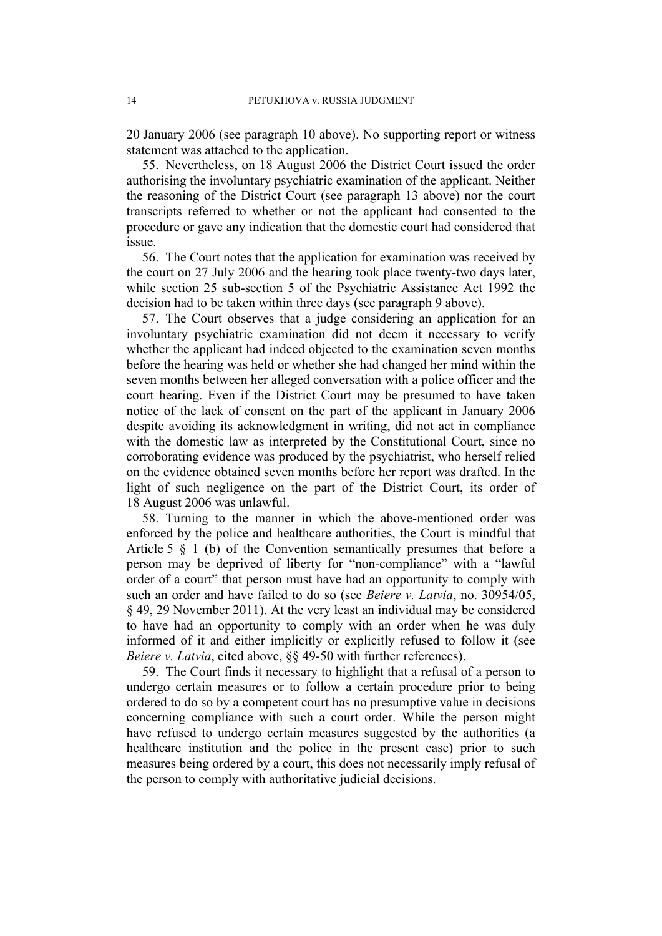20 January 2006 (see paragraph 10 above). No supporting report or witness statement was attached to the application.

55. Nevertheless, on 18 August 2006 the District Court issued the order authorising the involuntary psychiatric examination of the applicant. Neither the reasoning of the District Court (see paragraph [13](#page-4-0) above) nor the court transcripts referred to whether or not the applicant had consented to the procedure or gave any indication that the domestic court had considered that issue.

56. The Court notes that the application for examination was received by the court on 27 July 2006 and the hearing took place twenty-two days later, while section 25 sub-section 5 of the Psychiatric Assistance Act 1992 the decision had to be taken within three days (see paragraph 9 above).

57. The Court observes that a judge considering an application for an involuntary psychiatric examination did not deem it necessary to verify whether the applicant had indeed objected to the examination seven months before the hearing was held or whether she had changed her mind within the seven months between her alleged conversation with a police officer and the court hearing. Even if the District Court may be presumed to have taken notice of the lack of consent on the part of the applicant in January 2006 despite avoiding its acknowledgment in writing, did not act in compliance with the domestic law as interpreted by the Constitutional Court, since no corroborating evidence was produced by the psychiatrist, who herself relied on the evidence obtained seven months before her report was drafted. In the light of such negligence on the part of the District Court, its order of 18 August 2006 was unlawful.

58. Turning to the manner in which the above-mentioned order was enforced by the police and healthcare authorities, the Court is mindful that Article 5 § 1 (b) of the Convention semantically presumes that before a person may be deprived of liberty for "non-compliance" with a "lawful order of a court" that person must have had an opportunity to comply with such an order and have failed to do so (see *Beiere v. Latvia*, no. 30954/05, § 49, 29 November 2011). At the very least an individual may be considered to have had an opportunity to comply with an order when he was duly informed of it and either implicitly or explicitly refused to follow it (see *Beiere v. Latvia*, cited above, §§ 49-50 with further references).

59. The Court finds it necessary to highlight that a refusal of a person to undergo certain measures or to follow a certain procedure prior to being ordered to do so by a competent court has no presumptive value in decisions concerning compliance with such a court order. While the person might have refused to undergo certain measures suggested by the authorities (a healthcare institution and the police in the present case) prior to such measures being ordered by a court, this does not necessarily imply refusal of the person to comply with authoritative judicial decisions.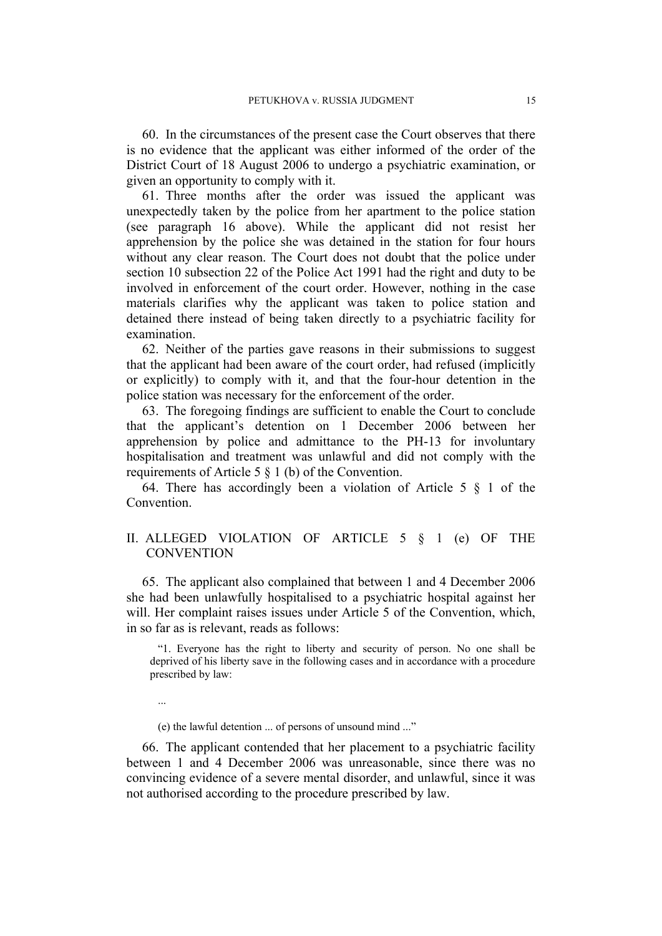60. In the circumstances of the present case the Court observes that there is no evidence that the applicant was either informed of the order of the District Court of 18 August 2006 to undergo a psychiatric examination, or given an opportunity to comply with it.

61. Three months after the order was issued the applicant was unexpectedly taken by the police from her apartment to the police station (see paragraph 16 above). While the applicant did not resist her apprehension by the police she was detained in the station for four hours without any clear reason. The Court does not doubt that the police under section 10 subsection 22 of the Police Act 1991 had the right and duty to be involved in enforcement of the court order. However, nothing in the case materials clarifies why the applicant was taken to police station and detained there instead of being taken directly to a psychiatric facility for examination.

62. Neither of the parties gave reasons in their submissions to suggest that the applicant had been aware of the court order, had refused (implicitly or explicitly) to comply with it, and that the four-hour detention in the police station was necessary for the enforcement of the order.

63. The foregoing findings are sufficient to enable the Court to conclude that the applicant's detention on 1 December 2006 between her apprehension by police and admittance to the PH-13 for involuntary hospitalisation and treatment was unlawful and did not comply with the requirements of Article 5 § 1 (b) of the Convention.

64. There has accordingly been a violation of Article 5 § 1 of the **Convention** 

# II. ALLEGED VIOLATION OF ARTICLE 5 § 1 (e) OF THE **CONVENTION**

65. The applicant also complained that between 1 and 4 December 2006 she had been unlawfully hospitalised to a psychiatric hospital against her will. Her complaint raises issues under Article 5 of the Convention, which, in so far as is relevant, reads as follows:

"1. Everyone has the right to liberty and security of person. No one shall be deprived of his liberty save in the following cases and in accordance with a procedure prescribed by law:

...

(e) the lawful detention ... of persons of unsound mind ..."

66. The applicant contended that her placement to a psychiatric facility between 1 and 4 December 2006 was unreasonable, since there was no convincing evidence of a severe mental disorder, and unlawful, since it was not authorised according to the procedure prescribed by law.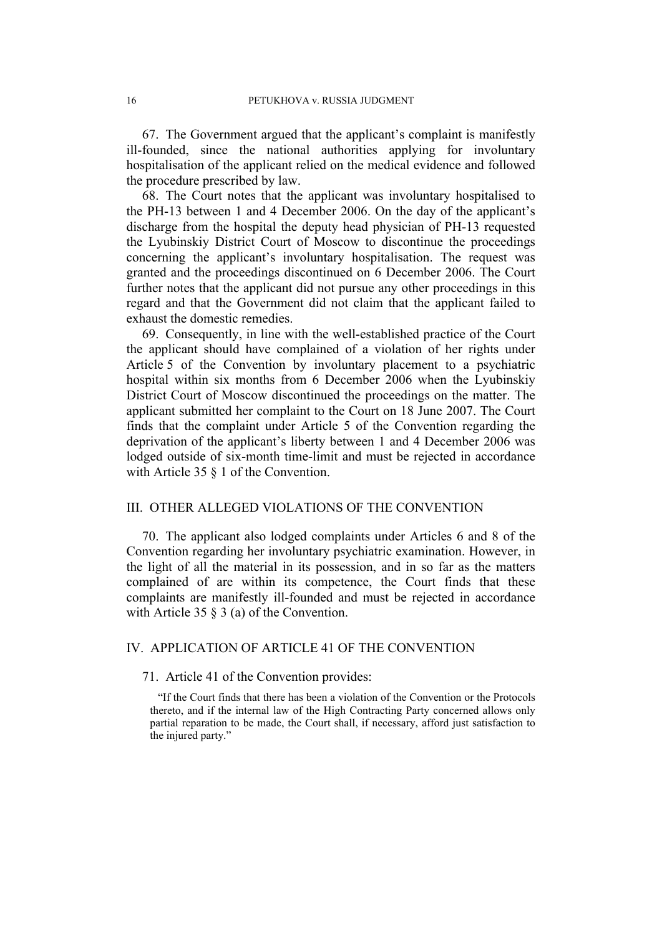67. The Government argued that the applicant's complaint is manifestly ill-founded, since the national authorities applying for involuntary hospitalisation of the applicant relied on the medical evidence and followed the procedure prescribed by law.

68. The Court notes that the applicant was involuntary hospitalised to the PH-13 between 1 and 4 December 2006. On the day of the applicant's discharge from the hospital the deputy head physician of PH-13 requested the Lyubinskiy District Court of Moscow to discontinue the proceedings concerning the applicant's involuntary hospitalisation. The request was granted and the proceedings discontinued on 6 December 2006. The Court further notes that the applicant did not pursue any other proceedings in this regard and that the Government did not claim that the applicant failed to exhaust the domestic remedies.

69. Consequently, in line with the well-established practice of the Court the applicant should have complained of a violation of her rights under Article 5 of the Convention by involuntary placement to a psychiatric hospital within six months from 6 December 2006 when the Lyubinskiy District Court of Moscow discontinued the proceedings on the matter. The applicant submitted her complaint to the Court on 18 June 2007. The Court finds that the complaint under Article 5 of the Convention regarding the deprivation of the applicant's liberty between 1 and 4 December 2006 was lodged outside of six-month time-limit and must be rejected in accordance with Article 35  $\S$  1 of the Convention.

# III. OTHER ALLEGED VIOLATIONS OF THE CONVENTION

70. The applicant also lodged complaints under Articles 6 and 8 of the Convention regarding her involuntary psychiatric examination. However, in the light of all the material in its possession, and in so far as the matters complained of are within its competence, the Court finds that these complaints are manifestly ill-founded and must be rejected in accordance with Article 35 § 3 (a) of the Convention.

# IV. APPLICATION OF ARTICLE 41 OF THE CONVENTION

## 71. Article 41 of the Convention provides:

"If the Court finds that there has been a violation of the Convention or the Protocols thereto, and if the internal law of the High Contracting Party concerned allows only partial reparation to be made, the Court shall, if necessary, afford just satisfaction to the injured party."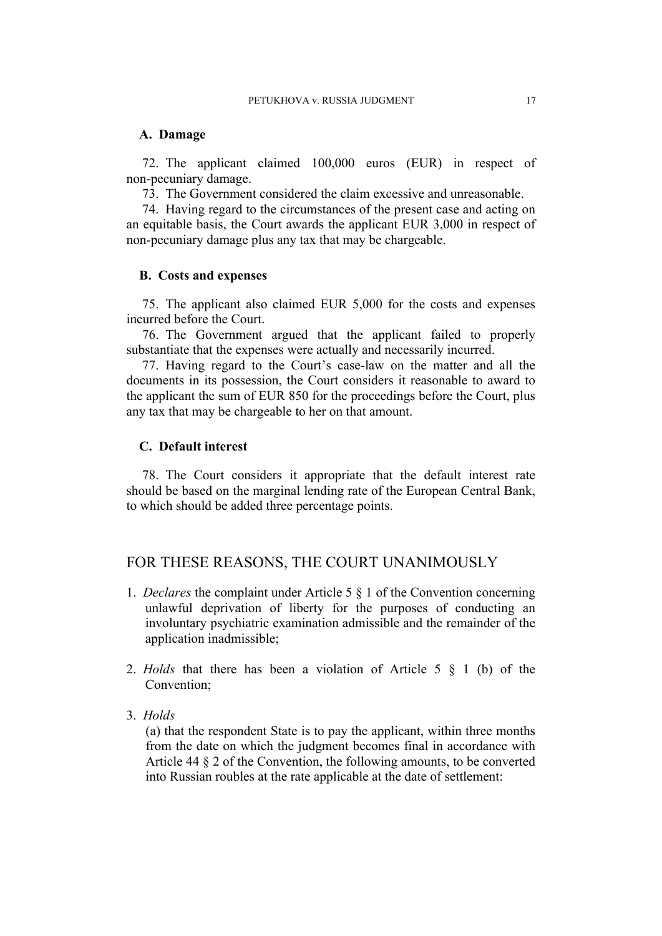## **A. Damage**

72. The applicant claimed 100,000 euros (EUR) in respect of non-pecuniary damage.

73. The Government considered the claim excessive and unreasonable.

74. Having regard to the circumstances of the present case and acting on an equitable basis, the Court awards the applicant EUR 3,000 in respect of non-pecuniary damage plus any tax that may be chargeable.

## **B. Costs and expenses**

75. The applicant also claimed EUR 5,000 for the costs and expenses incurred before the Court.

76. The Government argued that the applicant failed to properly substantiate that the expenses were actually and necessarily incurred.

77. Having regard to the Court's case-law on the matter and all the documents in its possession, the Court considers it reasonable to award to the applicant the sum of EUR 850 for the proceedings before the Court, plus any tax that may be chargeable to her on that amount.

# **C. Default interest**

78. The Court considers it appropriate that the default interest rate should be based on the marginal lending rate of the European Central Bank, to which should be added three percentage points.

# FOR THESE REASONS, THE COURT UNANIMOUSLY

- 1. *Declares* the complaint under Article 5 § 1 of the Convention concerning unlawful deprivation of liberty for the purposes of conducting an involuntary psychiatric examination admissible and the remainder of the application inadmissible;
- 2. *Holds* that there has been a violation of Article 5 § 1 (b) of the Convention;
- 3. *Holds*

(a) that the respondent State is to pay the applicant, within three months from the date on which the judgment becomes final in accordance with Article 44 § 2 of the Convention, the following amounts, to be converted into Russian roubles at the rate applicable at the date of settlement: